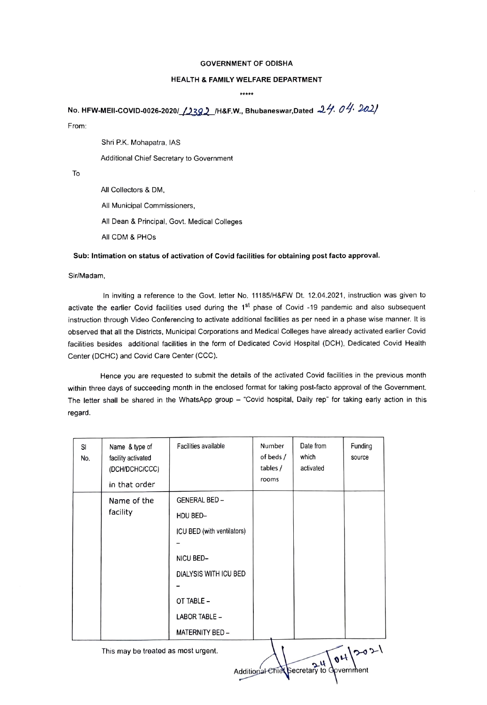## GOVERNMENT OF ODISHA

## HEALTH& FAMILY WELFARE DEPARTMENT

\*\*\*\*\*

No. HFW-MEII-COVID-0026-2020/ 12392 / H&F.W., Bhubaneswar, Dated  $24.04$ . 2021

From

Shri P.K. Mohapatra, IAS

Additional Chief Secretary to Government

To

All Collectors & DM, All Municipal Commissioners, All Dean & Principal, Govt. Medical Colleges All CDM & PHOs

## Sub: Intimation on status of activation of Covid facilities for obtaining post facto approval.

## Sir/Madam,

In inviting a reference to the Govt. letter No. 11185/H&FW Dt. 12.04.2021, instruction was given to activate the earlier Covid facilities used during the 1<sup>st</sup> phase of Covid -19 pandemic and also subsequent instruction through Video Conferencing to activate additional facilities as per need in a phase wise manner. It is observed that all the Districts, Municipal Corporations and Medical Colleges have already activated earlier Covid facilities besides additional facilities in the form of Dedicated Covid Hospital (DCH). Dedicated Covid Health Center (DCHC) and Covid Care Center (CCC).

Hence you are requested to submit the details of the activated Covid facilities in the previous month within three days of succeeding month in the enclosed format for taking post-facto approval of the Government. The letter shall be shared in the WhatsApp group - "Covid hospital, Daily rep" for taking early action in this regard.

| SI<br>No. | Name & type of<br>facility activated<br>(DCH/DCHC/CCC)<br>in that order | Facilities available       | Number<br>of beds /<br>tables /<br>rooms | Date from<br>which<br>activated | Funding<br>source |
|-----------|-------------------------------------------------------------------------|----------------------------|------------------------------------------|---------------------------------|-------------------|
|           | Name of the<br>facility                                                 | <b>GENERAL BED-</b>        |                                          |                                 |                   |
|           |                                                                         | HDU BED-                   |                                          |                                 |                   |
|           |                                                                         | ICU BED (with ventilators) |                                          |                                 |                   |
|           |                                                                         |                            |                                          |                                 |                   |
|           |                                                                         | NICU BED-                  |                                          |                                 |                   |
|           |                                                                         | DIALYSIS WITH ICU BED      |                                          |                                 |                   |
|           |                                                                         |                            |                                          |                                 |                   |
|           |                                                                         | OT TABLE -                 |                                          |                                 |                   |
|           |                                                                         | LABOR TABLE -              |                                          |                                 |                   |
|           |                                                                         | MATERNITY BED-             |                                          |                                 |                   |

This may be treated as most urgent.

Additional Eniet Secretary to devernment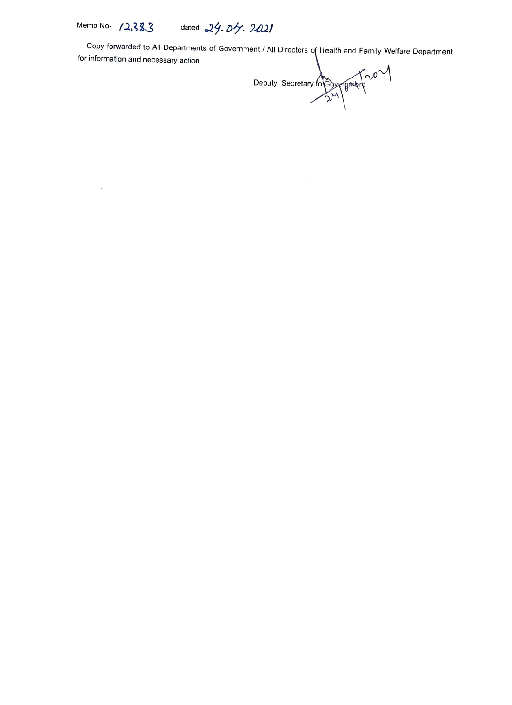$\ddot{\phantom{0}}$ 

Memo No- 12383 dated 24.04.2021

Copy forwarded to All Departments of Government / All Directors of Health and Family Welfare Department for information and necessary action.

Deputy Secretary to  $\frac{1}{2}$